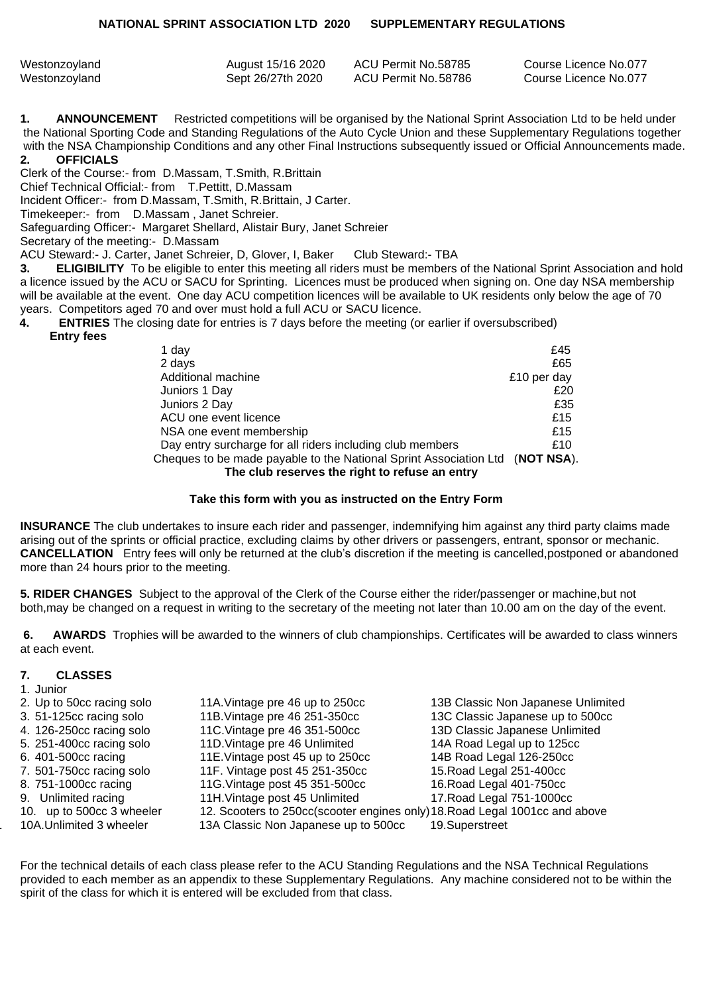| Westonzoyland | August 15/16 2020 | ACU Permit No.58785 | Course Licence No.077 |
|---------------|-------------------|---------------------|-----------------------|
| Westonzoyland | Sept 26/27th 2020 | ACU Permit No.58786 | Course Licence No.077 |

**1. ANNOUNCEMENT** Restricted competitions will be organised by the National Sprint Association Ltd to be held under the National Sporting Code and Standing Regulations of the Auto Cycle Union and these Supplementary Regulations together with the NSA Championship Conditions and any other Final Instructions subsequently issued or Official Announcements made.

## **2. OFFICIALS**

Clerk of the Course:- from D.Massam, T.Smith, R.Brittain

Chief Technical Official:- from T.Pettitt, D.Massam

Incident Officer:- from D.Massam, T.Smith, R.Brittain, J Carter.

Timekeeper:- from D.Massam , Janet Schreier.

Safeguarding Officer:- Margaret Shellard, Alistair Bury, Janet Schreier

Secretary of the meeting:- D.Massam

ACU Steward:- J. Carter, Janet Schreier, D, Glover, I, Baker Club Steward:- TBA

**3. ELIGIBILITY** To be eligible to enter this meeting all riders must be members of the National Sprint Association and hold a licence issued by the ACU or SACU for Sprinting. Licences must be produced when signing on. One day NSA membership will be available at the event. One day ACU competition licences will be available to UK residents only below the age of 70 years. Competitors aged 70 and over must hold a full ACU or SACU licence.

**4. ENTRIES** The closing date for entries is 7 days before the meeting (or earlier if oversubscribed)

| 1 day                                                                        | £45         |
|------------------------------------------------------------------------------|-------------|
| 2 days                                                                       | £65         |
| Additional machine                                                           | £10 per day |
| Juniors 1 Day                                                                | £20         |
| Juniors 2 Day                                                                | £35         |
| ACU one event licence                                                        | £15         |
| NSA one event membership                                                     | £15         |
| Day entry surcharge for all riders including club members                    | £10         |
| Cheques to be made payable to the National Sprint Association Ltd (NOT NSA). |             |
| The club reserves the right to refuse an entry                               |             |

## **Take this form with you as instructed on the Entry Form**

**INSURANCE** The club undertakes to insure each rider and passenger, indemnifying him against any third party claims made arising out of the sprints or official practice, excluding claims by other drivers or passengers, entrant, sponsor or mechanic. **CANCELLATION** Entry fees will only be returned at the club's discretion if the meeting is cancelled,postponed or abandoned more than 24 hours prior to the meeting.

**5. RIDER CHANGES** Subject to the approval of the Clerk of the Course either the rider/passenger or machine,but not both,may be changed on a request in writing to the secretary of the meeting not later than 10.00 am on the day of the event.

 **6. AWARDS** Trophies will be awarded to the winners of club championships. Certificates will be awarded to class winners at each event.

## **7. CLASSES** 1. Iunior

| 1. JUNUI                  |                                                                             |                                    |
|---------------------------|-----------------------------------------------------------------------------|------------------------------------|
| 2. Up to 50cc racing solo | 11A. Vintage pre 46 up to 250cc                                             | 13B Classic Non Japanese Unlimited |
| 3. 51-125cc racing solo   | 11B. Vintage pre 46 251-350cc                                               | 13C Classic Japanese up to 500cc   |
| 4. 126-250cc racing solo  | 11C. Vintage pre 46 351-500cc                                               | 13D Classic Japanese Unlimited     |
| 5. 251-400cc racing solo  | 11D. Vintage pre 46 Unlimited                                               | 14A Road Legal up to 125cc         |
| 6. 401-500cc racing       | 11E. Vintage post 45 up to 250cc                                            | 14B Road Legal 126-250cc           |
| 7. 501-750cc racing solo  | 11F. Vintage post 45 251-350cc                                              | 15. Road Legal 251-400cc           |
| 8. 751-1000cc racing      | 11G. Vintage post 45 351-500cc                                              | 16. Road Legal 401-750cc           |
| 9. Unlimited racing       | 11H. Vintage post 45 Unlimited                                              | 17. Road Legal 751-1000cc          |
| 10. up to 500cc 3 wheeler | 12. Scooters to 250cc(scooter engines only) 18. Road Legal 1001cc and above |                                    |
| 10A.Unlimited 3 wheeler   | 13A Classic Non Japanese up to 500cc                                        | 19.Superstreet                     |

For the technical details of each class please refer to the ACU Standing Regulations and the NSA Technical Regulations provided to each member as an appendix to these Supplementary Regulations. Any machine considered not to be within the spirit of the class for which it is entered will be excluded from that class.